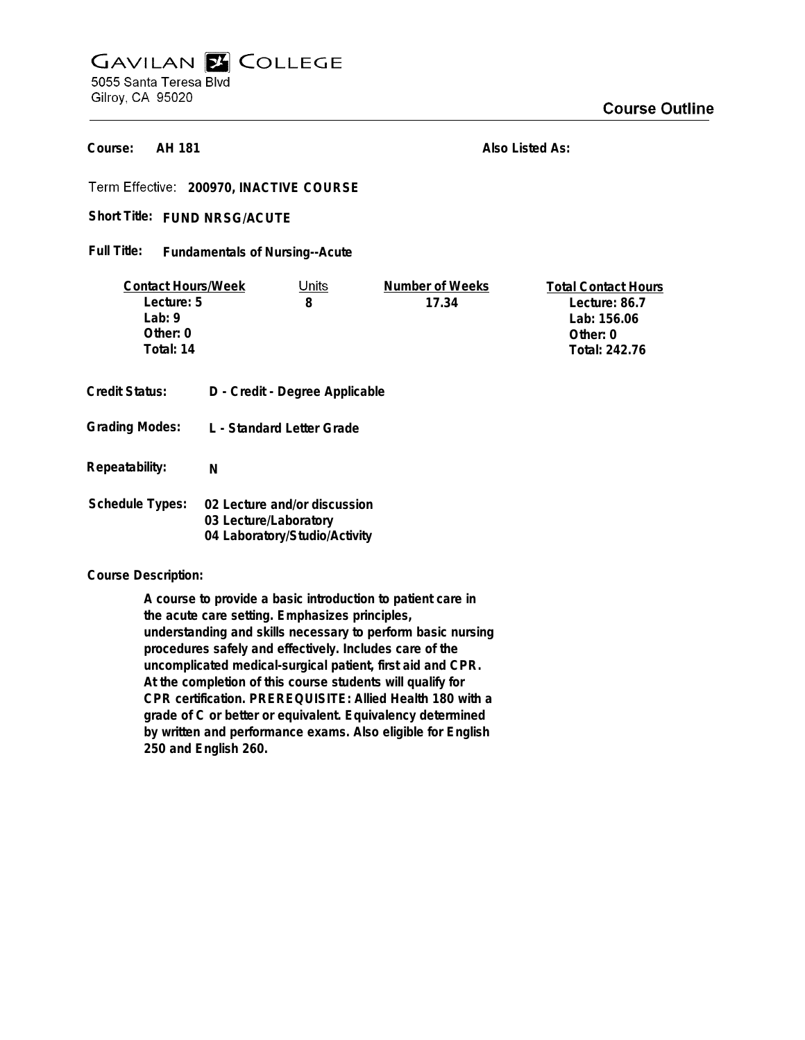## **GAVILAN E COLLEGE** 5055 Santa Teresa Blvd Gilroy, CA 95020

**AH 181 Course:**

**Also Listed As:**

**200970, INACTIVE COURSE**

Short Title: FUND NRSG/ACUTE

## **Fundamentals of Nursing--Acute Full Title:**

| <b>Contact Hours/Week</b> |                                                        | Units                          | Number of Weeks | <b>Total Contact Hours</b> |
|---------------------------|--------------------------------------------------------|--------------------------------|-----------------|----------------------------|
| Lecture: 5                |                                                        | 8                              | 17.34           | Lecture: 86.7              |
| Lab: $9$                  |                                                        |                                |                 | Lab: 156.06                |
| Other: $0$                |                                                        |                                |                 | Other: 0                   |
| Total: 14                 |                                                        |                                |                 | Total: 242.76              |
|                           |                                                        |                                |                 |                            |
| Credit Status:            |                                                        | D - Credit - Degree Applicable |                 |                            |
| <b>Grading Modes:</b>     |                                                        | L - Standard Letter Grade      |                 |                            |
| Repeatability:            | N                                                      |                                |                 |                            |
|                           |                                                        |                                |                 |                            |
| <b>Schedule Types:</b>    | 02 Lecture and/or discussion                           |                                |                 |                            |
|                           | 03 Lecture/Laboratory<br>04 Laboratory/Studio/Activity |                                |                 |                            |
|                           |                                                        |                                |                 |                            |

## **Course Description:**

**A course to provide a basic introduction to patient care in the acute care setting. Emphasizes principles, understanding and skills necessary to perform basic nursing procedures safely and effectively. Includes care of the uncomplicated medical-surgical patient, first aid and CPR. At the completion of this course students will qualify for CPR certification. PREREQUISITE: Allied Health 180 with a grade of C or better or equivalent. Equivalency determined by written and performance exams. Also eligible for English 250 and English 260.**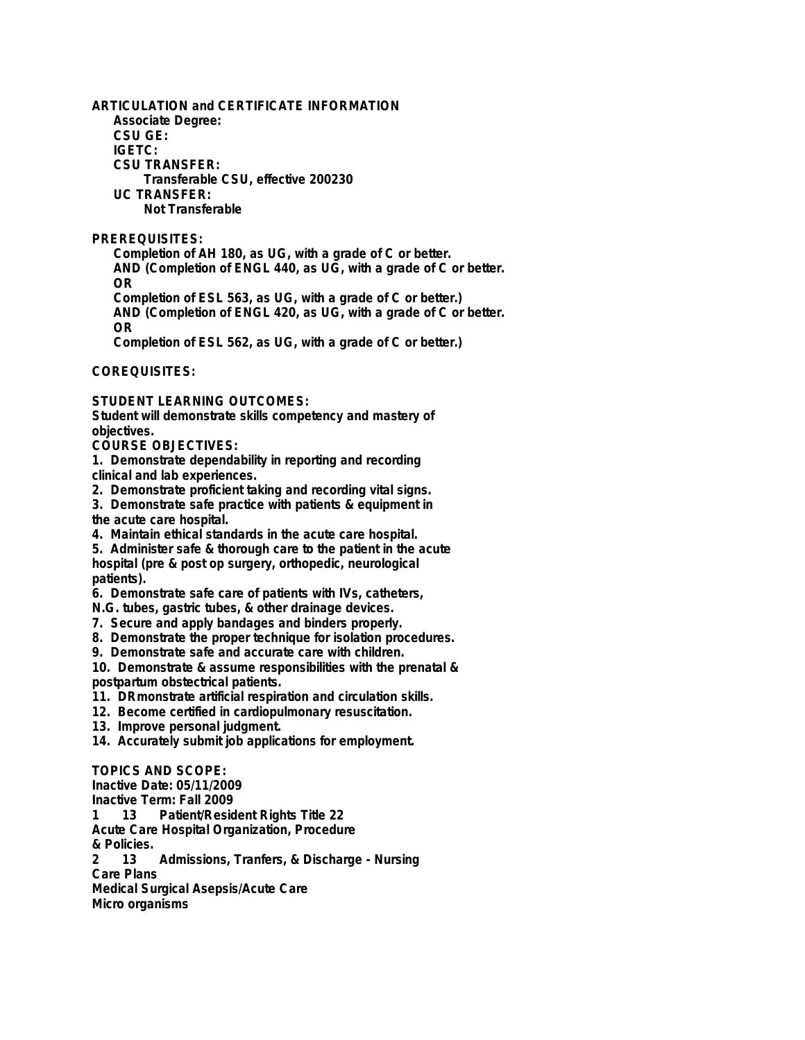**ARTICULATION and CERTIFICATE INFORMATION Associate Degree: CSU GE: IGETC: CSU TRANSFER: Transferable CSU, effective 200230 UC TRANSFER: Not Transferable PREREQUISITES: Completion of AH 180, as UG, with a grade of C or better. AND (Completion of ENGL 440, as UG, with a grade of C or better. OR Completion of ESL 563, as UG, with a grade of C or better.) AND (Completion of ENGL 420, as UG, with a grade of C or better. OR**

**Completion of ESL 562, as UG, with a grade of C or better.)**

**COREQUISITES:**

**STUDENT LEARNING OUTCOMES:**

**Student will demonstrate skills competency and mastery of objectives.**

**COURSE OBJECTIVES:**

**1. Demonstrate dependability in reporting and recording**

**clinical and lab experiences.**

**2. Demonstrate proficient taking and recording vital signs.**

**3. Demonstrate safe practice with patients & equipment in**

**the acute care hospital.**

**4. Maintain ethical standards in the acute care hospital.**

**5. Administer safe & thorough care to the patient in the acute hospital (pre & post op surgery, orthopedic, neurological patients).**

**6. Demonstrate safe care of patients with IVs, catheters,**

**N.G. tubes, gastric tubes, & other drainage devices.**

**7. Secure and apply bandages and binders properly.**

**8. Demonstrate the proper technique for isolation procedures.**

**9. Demonstrate safe and accurate care with children.**

**10. Demonstrate & assume responsibilities with the prenatal & postpartum obstectrical patients.**

**11. DRmonstrate artificial respiration and circulation skills.**

**12. Become certified in cardiopulmonary resuscitation.**

**13. Improve personal judgment.**

**14. Accurately submit job applications for employment.**

**TOPICS AND SCOPE:**

**Inactive Date: 05/11/2009**

**Inactive Term: Fall 2009**

**1 13 Patient/Resident Rights Title 22**

**Acute Care Hospital Organization, Procedure**

**& Policies. 2 13 Admissions, Tranfers, & Discharge - Nursing Care Plans Medical Surgical Asepsis/Acute Care**

**Micro organisms**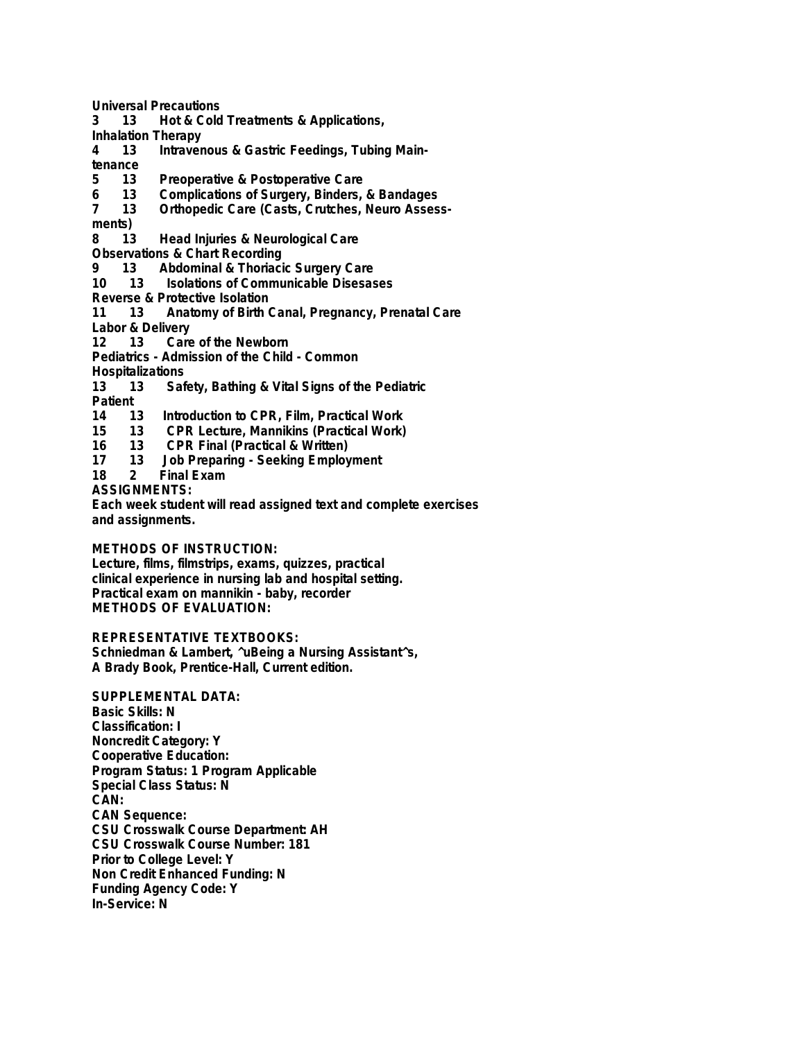**Universal Precautions**

**3 13 Hot & Cold Treatments & Applications,**

**Inhalation Therapy**

- Intravenous & Gastric Feedings, Tubing Main-
- tenance<br>5 13
- **5 13 Preoperative & Postoperative Care**
- **6 13 Complications of Surgery, Binders, & Bandages 7 13 Orthopedic Care (Casts, Crutches, Neuro Assess-**

**ments)**

- **8 13 Head Injuries & Neurological Care**
- **Observations & Chart Recording**<br>9 13 Abdominal & Thoriaci
- **9 13 Abdominal & Thoriacic Surgery Care**
- **10 13 Isolations of Communicable Disesases**
- **Reverse & Protective Isolation**
- **11 13 Anatomy of Birth Canal, Pregnancy, Prenatal Care**
- **Labor & Delivery**

**12 13 Care of the Newborn**

**Pediatrics - Admission of the Child - Common**

**Hospitalizations**

**13 13 Safety, Bathing & Vital Signs of the Pediatric**

**Patient**

- **14 13 Introduction to CPR, Film, Practical Work**
- **15 13 CPR Lecture, Mannikins (Practical Work)**
- **16 13 CPR Final (Practical & Written)**
- **17 13 Job Preparing Seeking Employment**

**Final Exam** 

**ASSIGNMENTS:**

**Each week student will read assigned text and complete exercises and assignments.**

## **METHODS OF INSTRUCTION:**

**Lecture, films, filmstrips, exams, quizzes, practical clinical experience in nursing lab and hospital setting. Practical exam on mannikin - baby, recorder METHODS OF EVALUATION:**

**REPRESENTATIVE TEXTBOOKS:**

**Schniedman & Lambert, ^uBeing a Nursing Assistant^s, A Brady Book, Prentice-Hall, Current edition.**

**SUPPLEMENTAL DATA: Basic Skills: N Classification: I Noncredit Category: Y Cooperative Education: Program Status: 1 Program Applicable Special Class Status: N CAN: CAN Sequence: CSU Crosswalk Course Department: AH CSU Crosswalk Course Number: 181 Prior to College Level: Y Non Credit Enhanced Funding: N Funding Agency Code: Y In-Service: N**